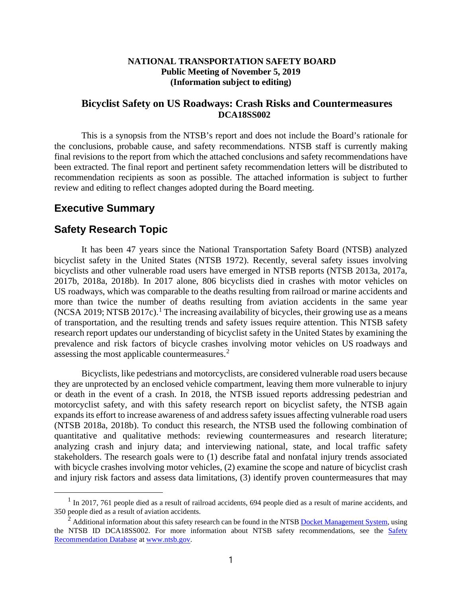### **NATIONAL TRANSPORTATION SAFETY BOARD Public Meeting of November 5, 2019 (Information subject to editing)**

### **Bicyclist Safety on US Roadways: Crash Risks and Countermeasures DCA18SS002**

This is a synopsis from the NTSB's report and does not include the Board's rationale for the conclusions, probable cause, and safety recommendations. NTSB staff is currently making final revisions to the report from which the attached conclusions and safety recommendations have been extracted. The final report and pertinent safety recommendation letters will be distributed to recommendation recipients as soon as possible. The attached information is subject to further review and editing to reflect changes adopted during the Board meeting.

# **Executive Summary**

## **Safety Research Topic**

It has been 47 years since the National Transportation Safety Board (NTSB) analyzed bicyclist safety in the United States (NTSB 1972). Recently, several safety issues involving bicyclists and other vulnerable road users have emerged in NTSB reports (NTSB 2013a, 2017a, 2017b, 2018a, 2018b). In 2017 alone, 806 bicyclists died in crashes with motor vehicles on US roadways, which was comparable to the deaths resulting from railroad or marine accidents and more than twice the number of deaths resulting from aviation accidents in the same year (NCSA 20[1](#page-0-0)9; NTSB 2017c).<sup>1</sup> The increasing availability of bicycles, their growing use as a means of transportation, and the resulting trends and safety issues require attention. This NTSB safety research report updates our understanding of bicyclist safety in the United States by examining the prevalence and risk factors of bicycle crashes involving motor vehicles on US roadways and assessing the most applicable countermeasures.<sup>[2](#page-0-1)</sup>

Bicyclists, like pedestrians and motorcyclists, are considered vulnerable road users because they are unprotected by an enclosed vehicle compartment, leaving them more vulnerable to injury or death in the event of a crash. In 2018, the NTSB issued reports addressing pedestrian and motorcyclist safety, and with this safety research report on bicyclist safety, the NTSB again expands its effort to increase awareness of and address safety issues affecting vulnerable road users (NTSB 2018a, 2018b). To conduct this research, the NTSB used the following combination of quantitative and qualitative methods: reviewing countermeasures and research literature; analyzing crash and injury data; and interviewing national, state, and local traffic safety stakeholders. The research goals were to (1) describe fatal and nonfatal injury trends associated with bicycle crashes involving motor vehicles, (2) examine the scope and nature of bicyclist crash and injury risk factors and assess data limitations, (3) identify proven countermeasures that may

<span id="page-0-0"></span><sup>&</sup>lt;sup>1</sup> In 2017, 761 people died as a result of railroad accidents, 694 people died as a result of marine accidents, and 350 people died as a result of aviation accidents.

<span id="page-0-1"></span><sup>&</sup>lt;sup>2</sup> Additional information about this safety research can be found in the NTS[B Docket Management System,](https://dms.ntsb.gov/pubdms/search/) using the NTSB ID DCA18SS002. For more information about NTSB safety recommendations, see the Safety [Recommendation Database](https://www.ntsb.gov/_layouts/ntsb.recsearch/RecTabs.aspx) at [www.ntsb.gov.](http://www.ntsb.gov/)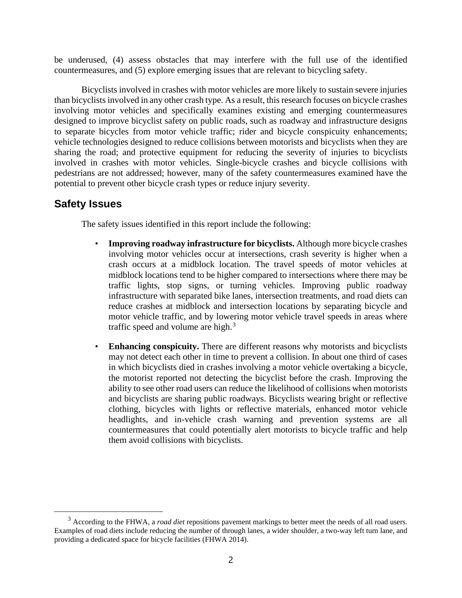be underused, (4) assess obstacles that may interfere with the full use of the identified countermeasures, and (5) explore emerging issues that are relevant to bicycling safety.

Bicyclists involved in crashes with motor vehicles are more likely to sustain severe injuries than bicyclists involved in any other crash type. As a result, this research focuses on bicycle crashes involving motor vehicles and specifically examines existing and emerging countermeasures designed to improve bicyclist safety on public roads, such as roadway and infrastructure designs to separate bicycles from motor vehicle traffic; rider and bicycle conspicuity enhancements; vehicle technologies designed to reduce collisions between motorists and bicyclists when they are sharing the road; and protective equipment for reducing the severity of injuries to bicyclists involved in crashes with motor vehicles. Single-bicycle crashes and bicycle collisions with pedestrians are not addressed; however, many of the safety countermeasures examined have the potential to prevent other bicycle crash types or reduce injury severity.

# **Safety Issues**

The safety issues identified in this report include the following:

- **Improving roadway infrastructure for bicyclists.** Although more bicycle crashes involving motor vehicles occur at intersections, crash severity is higher when a crash occurs at a midblock location. The travel speeds of motor vehicles at midblock locations tend to be higher compared to intersections where there may be traffic lights, stop signs, or turning vehicles. Improving public roadway infrastructure with separated bike lanes, intersection treatments, and road diets can reduce crashes at midblock and intersection locations by separating bicycle and motor vehicle traffic, and by lowering motor vehicle travel speeds in areas where traffic speed and volume are high. $3$
- **Enhancing conspicuity.** There are different reasons why motorists and bicyclists may not detect each other in time to prevent a collision. In about one third of cases in which bicyclists died in crashes involving a motor vehicle overtaking a bicycle, the motorist reported not detecting the bicyclist before the crash. Improving the ability to see other road users can reduce the likelihood of collisions when motorists and bicyclists are sharing public roadways. Bicyclists wearing bright or reflective clothing, bicycles with lights or reflective materials, enhanced motor vehicle headlights, and in-vehicle crash warning and prevention systems are all countermeasures that could potentially alert motorists to bicycle traffic and help them avoid collisions with bicyclists.

<span id="page-1-0"></span><sup>3</sup> According to the FHWA, a *road diet* repositions pavement markings to better meet the needs of all road users. Examples of road diets include reducing the number of through lanes, a wider shoulder, a two-way left turn lane, and providing a dedicated space for bicycle facilities (FHWA 2014).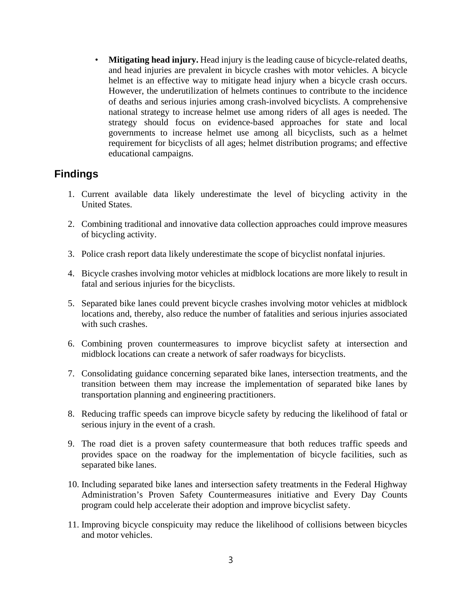• **Mitigating head injury.** Head injury is the leading cause of bicycle-related deaths, and head injuries are prevalent in bicycle crashes with motor vehicles. A bicycle helmet is an effective way to mitigate head injury when a bicycle crash occurs. However, the underutilization of helmets continues to contribute to the incidence of deaths and serious injuries among crash-involved bicyclists. A comprehensive national strategy to increase helmet use among riders of all ages is needed. The strategy should focus on evidence-based approaches for state and local governments to increase helmet use among all bicyclists, such as a helmet requirement for bicyclists of all ages; helmet distribution programs; and effective educational campaigns.

# **Findings**

- 1. Current available data likely underestimate the level of bicycling activity in the United States.
- 2. Combining traditional and innovative data collection approaches could improve measures of bicycling activity.
- 3. Police crash report data likely underestimate the scope of bicyclist nonfatal injuries.
- 4. Bicycle crashes involving motor vehicles at midblock locations are more likely to result in fatal and serious injuries for the bicyclists.
- 5. Separated bike lanes could prevent bicycle crashes involving motor vehicles at midblock locations and, thereby, also reduce the number of fatalities and serious injuries associated with such crashes.
- 6. Combining proven countermeasures to improve bicyclist safety at intersection and midblock locations can create a network of safer roadways for bicyclists.
- 7. Consolidating guidance concerning separated bike lanes, intersection treatments, and the transition between them may increase the implementation of separated bike lanes by transportation planning and engineering practitioners.
- 8. Reducing traffic speeds can improve bicycle safety by reducing the likelihood of fatal or serious injury in the event of a crash.
- 9. The road diet is a proven safety countermeasure that both reduces traffic speeds and provides space on the roadway for the implementation of bicycle facilities, such as separated bike lanes.
- 10. Including separated bike lanes and intersection safety treatments in the Federal Highway Administration's Proven Safety Countermeasures initiative and Every Day Counts program could help accelerate their adoption and improve bicyclist safety.
- 11. Improving bicycle conspicuity may reduce the likelihood of collisions between bicycles and motor vehicles.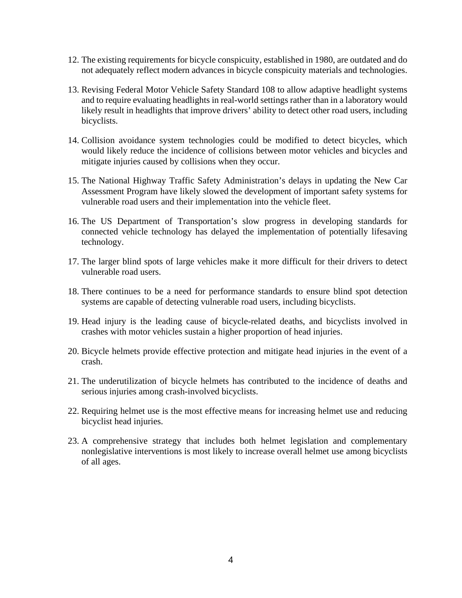- 12. The existing requirements for bicycle conspicuity, established in 1980, are outdated and do not adequately reflect modern advances in bicycle conspicuity materials and technologies.
- 13. Revising Federal Motor Vehicle Safety Standard 108 to allow adaptive headlight systems and to require evaluating headlights in real-world settings rather than in a laboratory would likely result in headlights that improve drivers' ability to detect other road users, including bicyclists.
- 14. Collision avoidance system technologies could be modified to detect bicycles, which would likely reduce the incidence of collisions between motor vehicles and bicycles and mitigate injuries caused by collisions when they occur.
- 15. The National Highway Traffic Safety Administration's delays in updating the New Car Assessment Program have likely slowed the development of important safety systems for vulnerable road users and their implementation into the vehicle fleet.
- 16. The US Department of Transportation's slow progress in developing standards for connected vehicle technology has delayed the implementation of potentially lifesaving technology.
- 17. The larger blind spots of large vehicles make it more difficult for their drivers to detect vulnerable road users.
- 18. There continues to be a need for performance standards to ensure blind spot detection systems are capable of detecting vulnerable road users, including bicyclists.
- 19. Head injury is the leading cause of bicycle-related deaths, and bicyclists involved in crashes with motor vehicles sustain a higher proportion of head injuries.
- 20. Bicycle helmets provide effective protection and mitigate head injuries in the event of a crash.
- 21. The underutilization of bicycle helmets has contributed to the incidence of deaths and serious injuries among crash-involved bicyclists.
- 22. Requiring helmet use is the most effective means for increasing helmet use and reducing bicyclist head injuries.
- 23. A comprehensive strategy that includes both helmet legislation and complementary nonlegislative interventions is most likely to increase overall helmet use among bicyclists of all ages.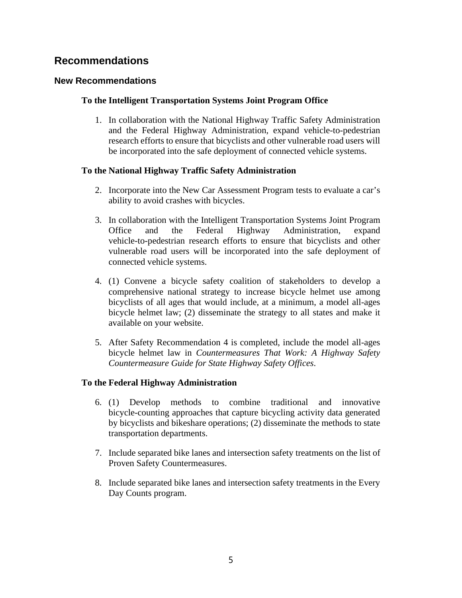# **Recommendations**

### **New Recommendations**

### **To the Intelligent Transportation Systems Joint Program Office**

1. In collaboration with the National Highway Traffic Safety Administration and the Federal Highway Administration, expand vehicle-to-pedestrian research efforts to ensure that bicyclists and other vulnerable road users will be incorporated into the safe deployment of connected vehicle systems.

### **To the National Highway Traffic Safety Administration**

- 2. Incorporate into the New Car Assessment Program tests to evaluate a car's ability to avoid crashes with bicycles.
- 3. In collaboration with the Intelligent Transportation Systems Joint Program Office and the Federal Highway Administration, expand vehicle-to-pedestrian research efforts to ensure that bicyclists and other vulnerable road users will be incorporated into the safe deployment of connected vehicle systems.
- 4. (1) Convene a bicycle safety coalition of stakeholders to develop a comprehensive national strategy to increase bicycle helmet use among bicyclists of all ages that would include, at a minimum, a model all-ages bicycle helmet law; (2) disseminate the strategy to all states and make it available on your website.
- 5. After Safety Recommendation 4 is completed, include the model all-ages bicycle helmet law in *Countermeasures That Work: A Highway Safety Countermeasure Guide for State Highway Safety Offices*.

### **To the Federal Highway Administration**

- 6. (1) Develop methods to combine traditional and innovative bicycle-counting approaches that capture bicycling activity data generated by bicyclists and bikeshare operations; (2) disseminate the methods to state transportation departments.
- 7. Include separated bike lanes and intersection safety treatments on the list of Proven Safety Countermeasures.
- 8. Include separated bike lanes and intersection safety treatments in the Every Day Counts program.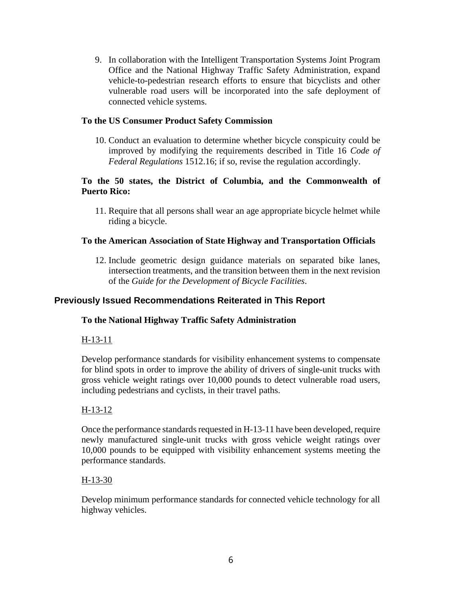9. In collaboration with the Intelligent Transportation Systems Joint Program Office and the National Highway Traffic Safety Administration, expand vehicle-to-pedestrian research efforts to ensure that bicyclists and other vulnerable road users will be incorporated into the safe deployment of connected vehicle systems.

### **To the US Consumer Product Safety Commission**

10. Conduct an evaluation to determine whether bicycle conspicuity could be improved by modifying the requirements described in Title 16 *Code of Federal Regulations* 1512.16; if so, revise the regulation accordingly.

### **To the 50 states, the District of Columbia, and the Commonwealth of Puerto Rico:**

11. Require that all persons shall wear an age appropriate bicycle helmet while riding a bicycle.

### **To the American Association of State Highway and Transportation Officials**

12. Include geometric design guidance materials on separated bike lanes, intersection treatments, and the transition between them in the next revision of the *Guide for the Development of Bicycle Facilities*.

### **Previously Issued Recommendations Reiterated in This Report**

### **To the National Highway Traffic Safety Administration**

### H-13-11

Develop performance standards for visibility enhancement systems to compensate for blind spots in order to improve the ability of drivers of single-unit trucks with gross vehicle weight ratings over 10,000 pounds to detect vulnerable road users, including pedestrians and cyclists, in their travel paths.

### H-13-12

Once the performance standards requested in H-13-11 have been developed, require newly manufactured single-unit trucks with gross vehicle weight ratings over 10,000 pounds to be equipped with visibility enhancement systems meeting the performance standards.

### H-13-30

Develop minimum performance standards for connected vehicle technology for all highway vehicles.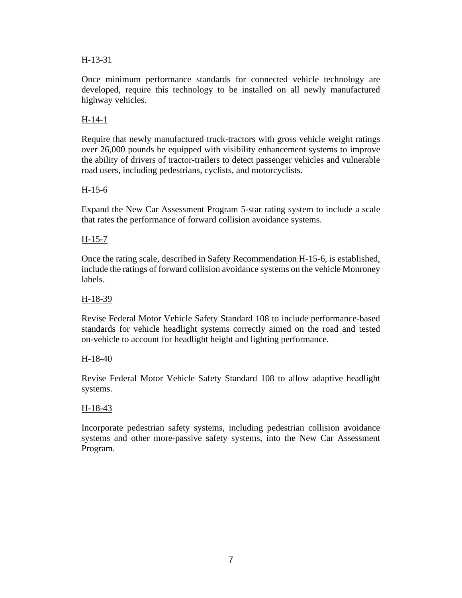### H-13-31

Once minimum performance standards for connected vehicle technology are developed, require this technology to be installed on all newly manufactured highway vehicles.

### H-14-1

Require that newly manufactured truck-tractors with gross vehicle weight ratings over 26,000 pounds be equipped with visibility enhancement systems to improve the ability of drivers of tractor-trailers to detect passenger vehicles and vulnerable road users, including pedestrians, cyclists, and motorcyclists.

### H-15-6

Expand the New Car Assessment Program 5-star rating system to include a scale that rates the performance of forward collision avoidance systems.

### H-15-7

Once the rating scale, described in Safety Recommendation H-15-6, is established, include the ratings of forward collision avoidance systems on the vehicle Monroney labels.

### H-18-39

Revise Federal Motor Vehicle Safety Standard 108 to include performance-based standards for vehicle headlight systems correctly aimed on the road and tested on-vehicle to account for headlight height and lighting performance.

### H-18-40

Revise Federal Motor Vehicle Safety Standard 108 to allow adaptive headlight systems.

### H-18-43

Incorporate pedestrian safety systems, including pedestrian collision avoidance systems and other more-passive safety systems, into the New Car Assessment Program.